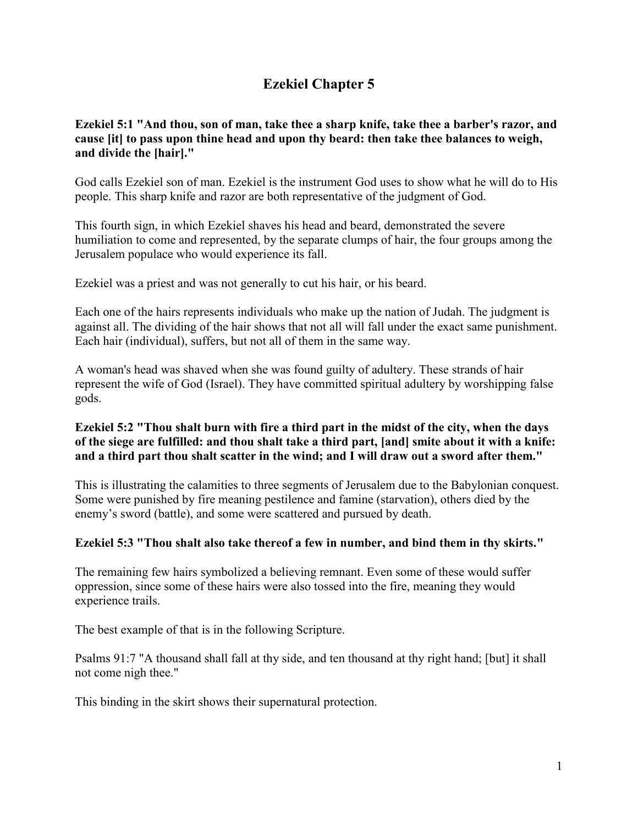# **Ezekiel Chapter 5**

# **Ezekiel 5:1 "And thou, son of man, take thee a sharp knife, take thee a barber's razor, and cause [it] to pass upon thine head and upon thy beard: then take thee balances to weigh, and divide the [hair]."**

God calls Ezekiel son of man. Ezekiel is the instrument God uses to show what he will do to His people. This sharp knife and razor are both representative of the judgment of God.

This fourth sign, in which Ezekiel shaves his head and beard, demonstrated the severe humiliation to come and represented, by the separate clumps of hair, the four groups among the Jerusalem populace who would experience its fall.

Ezekiel was a priest and was not generally to cut his hair, or his beard.

Each one of the hairs represents individuals who make up the nation of Judah. The judgment is against all. The dividing of the hair shows that not all will fall under the exact same punishment. Each hair (individual), suffers, but not all of them in the same way.

A woman's head was shaved when she was found guilty of adultery. These strands of hair represent the wife of God (Israel). They have committed spiritual adultery by worshipping false gods.

# **Ezekiel 5:2 "Thou shalt burn with fire a third part in the midst of the city, when the days of the siege are fulfilled: and thou shalt take a third part, [and] smite about it with a knife: and a third part thou shalt scatter in the wind; and I will draw out a sword after them."**

This is illustrating the calamities to three segments of Jerusalem due to the Babylonian conquest. Some were punished by fire meaning pestilence and famine (starvation), others died by the enemy's sword (battle), and some were scattered and pursued by death.

# **Ezekiel 5:3 "Thou shalt also take thereof a few in number, and bind them in thy skirts."**

The remaining few hairs symbolized a believing remnant. Even some of these would suffer oppression, since some of these hairs were also tossed into the fire, meaning they would experience trails.

The best example of that is in the following Scripture.

Psalms 91:7 "A thousand shall fall at thy side, and ten thousand at thy right hand; [but] it shall not come nigh thee."

This binding in the skirt shows their supernatural protection.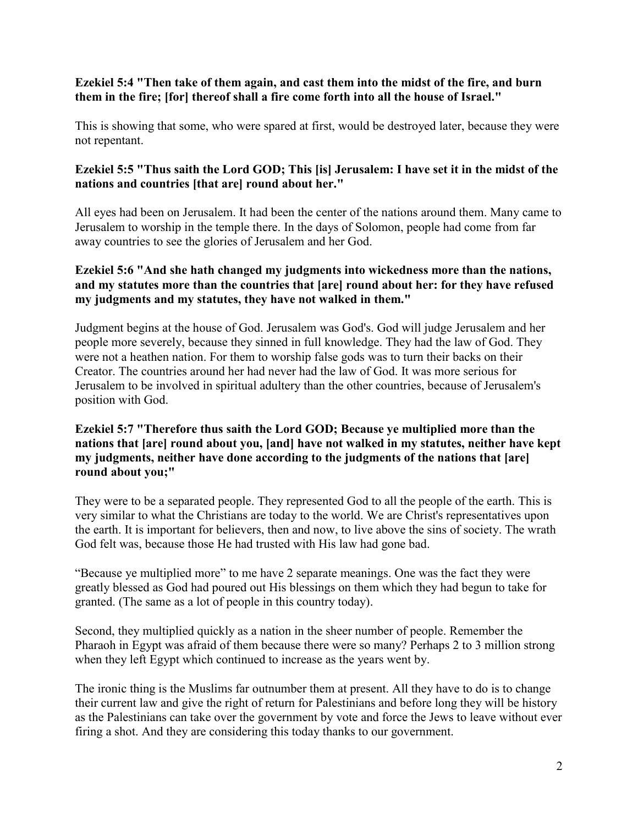# **Ezekiel 5:4 "Then take of them again, and cast them into the midst of the fire, and burn them in the fire; [for] thereof shall a fire come forth into all the house of Israel."**

This is showing that some, who were spared at first, would be destroyed later, because they were not repentant.

#### **Ezekiel 5:5 "Thus saith the Lord GOD; This [is] Jerusalem: I have set it in the midst of the nations and countries [that are] round about her."**

All eyes had been on Jerusalem. It had been the center of the nations around them. Many came to Jerusalem to worship in the temple there. In the days of Solomon, people had come from far away countries to see the glories of Jerusalem and her God.

# **Ezekiel 5:6 "And she hath changed my judgments into wickedness more than the nations, and my statutes more than the countries that [are] round about her: for they have refused my judgments and my statutes, they have not walked in them."**

Judgment begins at the house of God. Jerusalem was God's. God will judge Jerusalem and her people more severely, because they sinned in full knowledge. They had the law of God. They were not a heathen nation. For them to worship false gods was to turn their backs on their Creator. The countries around her had never had the law of God. It was more serious for Jerusalem to be involved in spiritual adultery than the other countries, because of Jerusalem's position with God.

# **Ezekiel 5:7 "Therefore thus saith the Lord GOD; Because ye multiplied more than the nations that [are] round about you, [and] have not walked in my statutes, neither have kept my judgments, neither have done according to the judgments of the nations that [are] round about you;"**

They were to be a separated people. They represented God to all the people of the earth. This is very similar to what the Christians are today to the world. We are Christ's representatives upon the earth. It is important for believers, then and now, to live above the sins of society. The wrath God felt was, because those He had trusted with His law had gone bad.

"Because ye multiplied more" to me have 2 separate meanings. One was the fact they were greatly blessed as God had poured out His blessings on them which they had begun to take for granted. (The same as a lot of people in this country today).

Second, they multiplied quickly as a nation in the sheer number of people. Remember the Pharaoh in Egypt was afraid of them because there were so many? Perhaps 2 to 3 million strong when they left Egypt which continued to increase as the years went by.

The ironic thing is the Muslims far outnumber them at present. All they have to do is to change their current law and give the right of return for Palestinians and before long they will be history as the Palestinians can take over the government by vote and force the Jews to leave without ever firing a shot. And they are considering this today thanks to our government.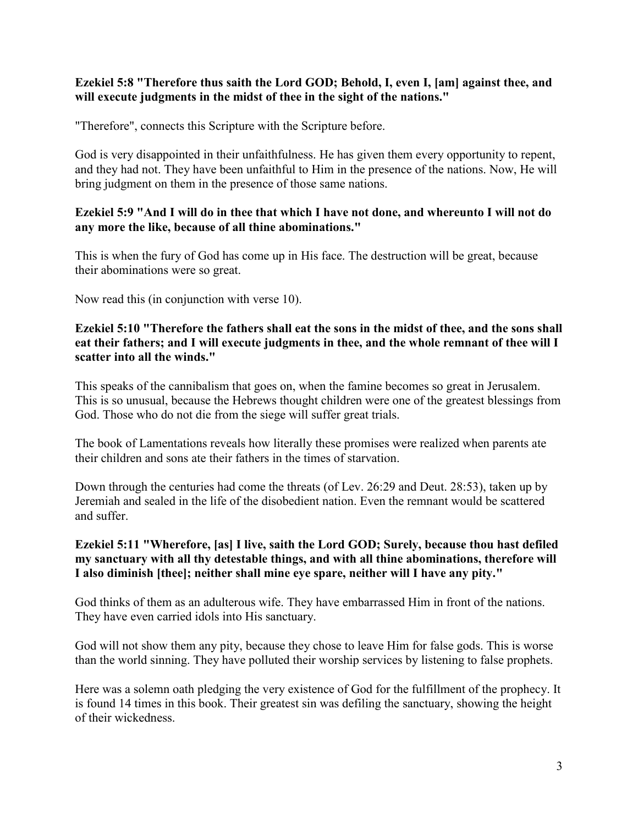#### **Ezekiel 5:8 "Therefore thus saith the Lord GOD; Behold, I, even I, [am] against thee, and will execute judgments in the midst of thee in the sight of the nations."**

"Therefore", connects this Scripture with the Scripture before.

God is very disappointed in their unfaithfulness. He has given them every opportunity to repent, and they had not. They have been unfaithful to Him in the presence of the nations. Now, He will bring judgment on them in the presence of those same nations.

### **Ezekiel 5:9 "And I will do in thee that which I have not done, and whereunto I will not do any more the like, because of all thine abominations."**

This is when the fury of God has come up in His face. The destruction will be great, because their abominations were so great.

Now read this (in conjunction with verse 10).

#### **Ezekiel 5:10 "Therefore the fathers shall eat the sons in the midst of thee, and the sons shall eat their fathers; and I will execute judgments in thee, and the whole remnant of thee will I scatter into all the winds."**

This speaks of the cannibalism that goes on, when the famine becomes so great in Jerusalem. This is so unusual, because the Hebrews thought children were one of the greatest blessings from God. Those who do not die from the siege will suffer great trials.

The book of Lamentations reveals how literally these promises were realized when parents ate their children and sons ate their fathers in the times of starvation.

Down through the centuries had come the threats (of Lev. 26:29 and Deut. 28:53), taken up by Jeremiah and sealed in the life of the disobedient nation. Even the remnant would be scattered and suffer.

# **Ezekiel 5:11 "Wherefore, [as] I live, saith the Lord GOD; Surely, because thou hast defiled my sanctuary with all thy detestable things, and with all thine abominations, therefore will I also diminish [thee]; neither shall mine eye spare, neither will I have any pity."**

God thinks of them as an adulterous wife. They have embarrassed Him in front of the nations. They have even carried idols into His sanctuary.

God will not show them any pity, because they chose to leave Him for false gods. This is worse than the world sinning. They have polluted their worship services by listening to false prophets.

Here was a solemn oath pledging the very existence of God for the fulfillment of the prophecy. It is found 14 times in this book. Their greatest sin was defiling the sanctuary, showing the height of their wickedness.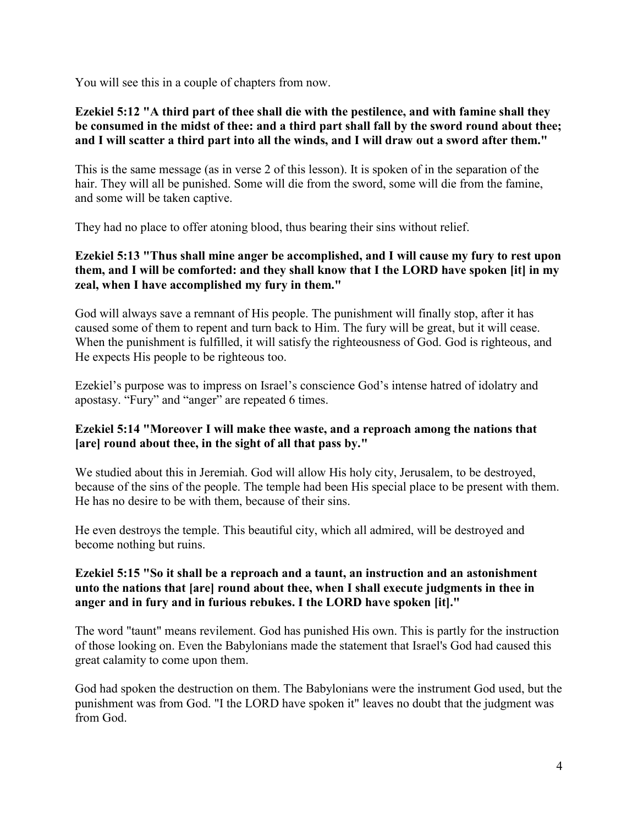You will see this in a couple of chapters from now.

#### **Ezekiel 5:12 "A third part of thee shall die with the pestilence, and with famine shall they be consumed in the midst of thee: and a third part shall fall by the sword round about thee; and I will scatter a third part into all the winds, and I will draw out a sword after them."**

This is the same message (as in verse 2 of this lesson). It is spoken of in the separation of the hair. They will all be punished. Some will die from the sword, some will die from the famine, and some will be taken captive.

They had no place to offer atoning blood, thus bearing their sins without relief.

# **Ezekiel 5:13 "Thus shall mine anger be accomplished, and I will cause my fury to rest upon them, and I will be comforted: and they shall know that I the LORD have spoken [it] in my zeal, when I have accomplished my fury in them."**

God will always save a remnant of His people. The punishment will finally stop, after it has caused some of them to repent and turn back to Him. The fury will be great, but it will cease. When the punishment is fulfilled, it will satisfy the righteousness of God. God is righteous, and He expects His people to be righteous too.

Ezekiel's purpose was to impress on Israel's conscience God's intense hatred of idolatry and apostasy. "Fury" and "anger" are repeated 6 times.

# **Ezekiel 5:14 "Moreover I will make thee waste, and a reproach among the nations that [are] round about thee, in the sight of all that pass by."**

We studied about this in Jeremiah. God will allow His holy city, Jerusalem, to be destroyed, because of the sins of the people. The temple had been His special place to be present with them. He has no desire to be with them, because of their sins.

He even destroys the temple. This beautiful city, which all admired, will be destroyed and become nothing but ruins.

# **Ezekiel 5:15 "So it shall be a reproach and a taunt, an instruction and an astonishment unto the nations that [are] round about thee, when I shall execute judgments in thee in anger and in fury and in furious rebukes. I the LORD have spoken [it]."**

The word "taunt" means revilement. God has punished His own. This is partly for the instruction of those looking on. Even the Babylonians made the statement that Israel's God had caused this great calamity to come upon them.

God had spoken the destruction on them. The Babylonians were the instrument God used, but the punishment was from God. "I the LORD have spoken it" leaves no doubt that the judgment was from God.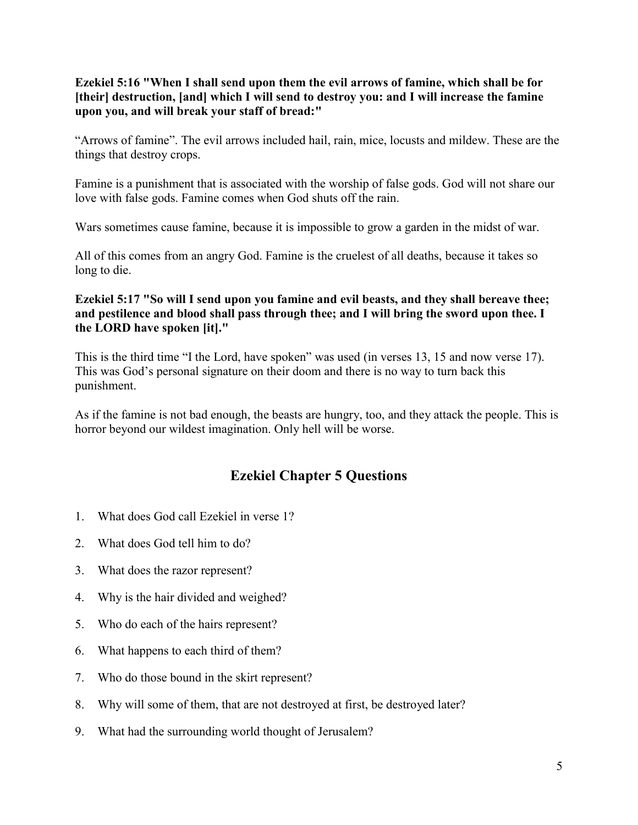**Ezekiel 5:16 "When I shall send upon them the evil arrows of famine, which shall be for [their] destruction, [and] which I will send to destroy you: and I will increase the famine upon you, and will break your staff of bread:"**

"Arrows of famine". The evil arrows included hail, rain, mice, locusts and mildew. These are the things that destroy crops.

Famine is a punishment that is associated with the worship of false gods. God will not share our love with false gods. Famine comes when God shuts off the rain.

Wars sometimes cause famine, because it is impossible to grow a garden in the midst of war.

All of this comes from an angry God. Famine is the cruelest of all deaths, because it takes so long to die.

# **Ezekiel 5:17 "So will I send upon you famine and evil beasts, and they shall bereave thee; and pestilence and blood shall pass through thee; and I will bring the sword upon thee. I the LORD have spoken [it]."**

This is the third time "I the Lord, have spoken" was used (in verses 13, 15 and now verse 17). This was God's personal signature on their doom and there is no way to turn back this punishment.

As if the famine is not bad enough, the beasts are hungry, too, and they attack the people. This is horror beyond our wildest imagination. Only hell will be worse.

# **Ezekiel Chapter 5 Questions**

- 1. What does God call Ezekiel in verse 1?
- 2. What does God tell him to do?
- 3. What does the razor represent?
- 4. Why is the hair divided and weighed?
- 5. Who do each of the hairs represent?
- 6. What happens to each third of them?
- 7. Who do those bound in the skirt represent?
- 8. Why will some of them, that are not destroyed at first, be destroyed later?
- 9. What had the surrounding world thought of Jerusalem?